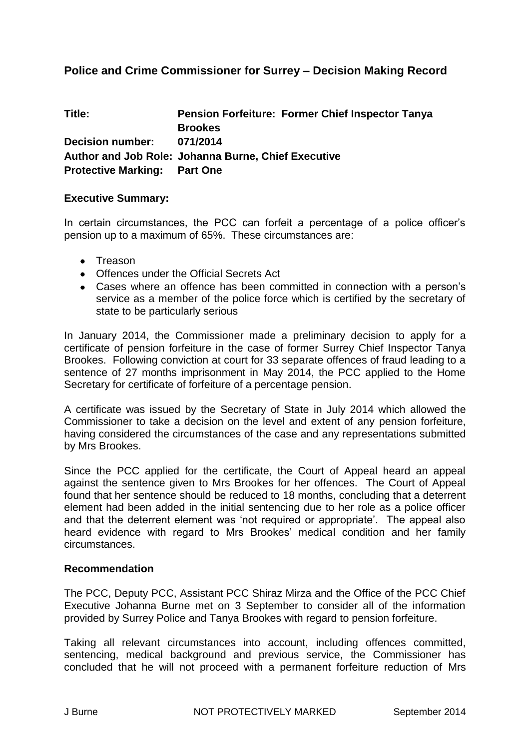## **Police and Crime Commissioner for Surrey – Decision Making Record**

| Title:                              | <b>Pension Forfeiture: Former Chief Inspector Tanya</b>    |
|-------------------------------------|------------------------------------------------------------|
|                                     | <b>Brookes</b>                                             |
| <b>Decision number:</b>             | 071/2014                                                   |
|                                     | <b>Author and Job Role: Johanna Burne, Chief Executive</b> |
| <b>Protective Marking: Part One</b> |                                                            |

#### **Executive Summary:**

In certain circumstances, the PCC can forfeit a percentage of a police officer's pension up to a maximum of 65%. These circumstances are:

- Treason
- Offences under the Official Secrets Act
- Cases where an offence has been committed in connection with a person's service as a member of the police force which is certified by the secretary of state to be particularly serious

In January 2014, the Commissioner made a preliminary decision to apply for a certificate of pension forfeiture in the case of former Surrey Chief Inspector Tanya Brookes. Following conviction at court for 33 separate offences of fraud leading to a sentence of 27 months imprisonment in May 2014, the PCC applied to the Home Secretary for certificate of forfeiture of a percentage pension.

A certificate was issued by the Secretary of State in July 2014 which allowed the Commissioner to take a decision on the level and extent of any pension forfeiture, having considered the circumstances of the case and any representations submitted by Mrs Brookes.

Since the PCC applied for the certificate, the Court of Appeal heard an appeal against the sentence given to Mrs Brookes for her offences. The Court of Appeal found that her sentence should be reduced to 18 months, concluding that a deterrent element had been added in the initial sentencing due to her role as a police officer and that the deterrent element was 'not required or appropriate'. The appeal also heard evidence with regard to Mrs Brookes' medical condition and her family circumstances.

#### **Recommendation**

The PCC, Deputy PCC, Assistant PCC Shiraz Mirza and the Office of the PCC Chief Executive Johanna Burne met on 3 September to consider all of the information provided by Surrey Police and Tanya Brookes with regard to pension forfeiture.

Taking all relevant circumstances into account, including offences committed, sentencing, medical background and previous service, the Commissioner has concluded that he will not proceed with a permanent forfeiture reduction of Mrs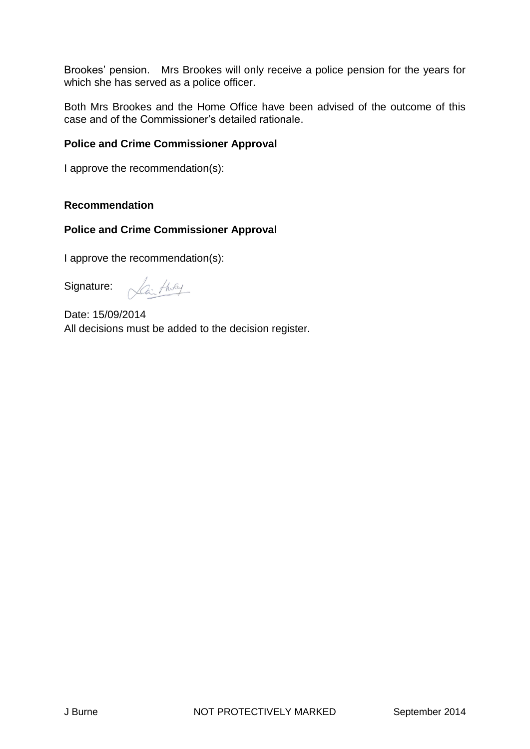Brookes' pension. Mrs Brookes will only receive a police pension for the years for which she has served as a police officer.

Both Mrs Brookes and the Home Office have been advised of the outcome of this case and of the Commissioner's detailed rationale.

### **Police and Crime Commissioner Approval**

I approve the recommendation(s):

#### **Recommendation**

#### **Police and Crime Commissioner Approval**

I approve the recommendation(s):

Signature:

Lai tholy

Date: 15/09/2014 All decisions must be added to the decision register.